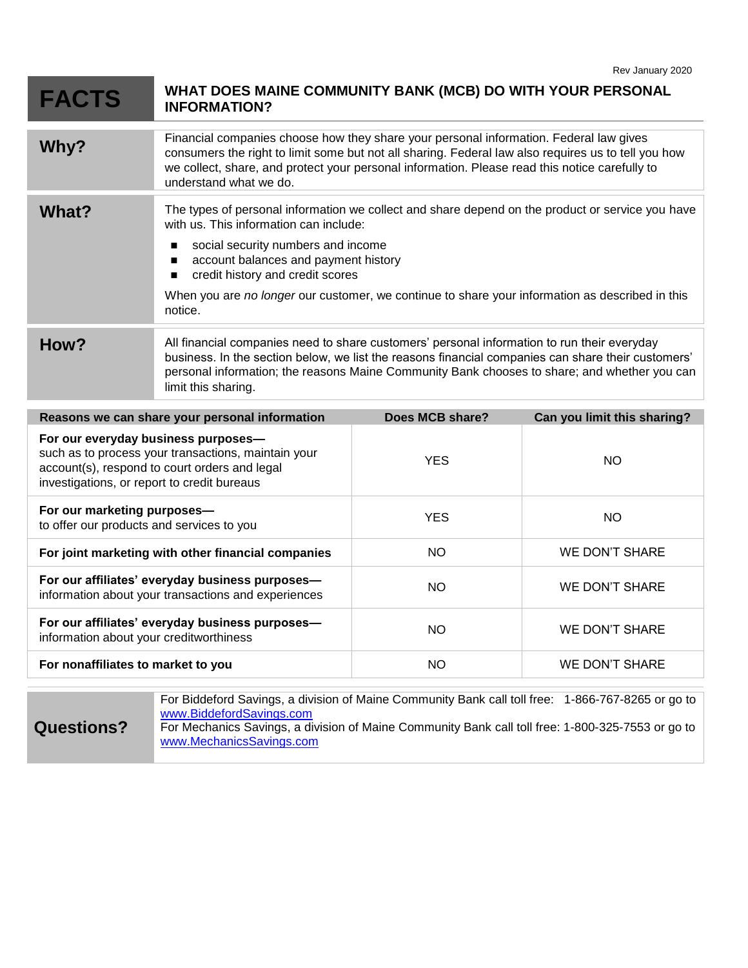| <b>FACTS</b>                                                                                                                                                                               | WHAT DOES MAINE COMMUNITY BANK (MCB) DO WITH YOUR PERSONAL<br><b>INFORMATION?</b>                                                                                                                                                                                                                                                                                                                                                |                 |                             |
|--------------------------------------------------------------------------------------------------------------------------------------------------------------------------------------------|----------------------------------------------------------------------------------------------------------------------------------------------------------------------------------------------------------------------------------------------------------------------------------------------------------------------------------------------------------------------------------------------------------------------------------|-----------------|-----------------------------|
| Why?                                                                                                                                                                                       | Financial companies choose how they share your personal information. Federal law gives<br>consumers the right to limit some but not all sharing. Federal law also requires us to tell you how<br>we collect, share, and protect your personal information. Please read this notice carefully to<br>understand what we do.                                                                                                        |                 |                             |
| What?                                                                                                                                                                                      | The types of personal information we collect and share depend on the product or service you have<br>with us. This information can include:<br>social security numbers and income<br>$\blacksquare$<br>account balances and payment history<br>$\blacksquare$<br>credit history and credit scores<br>$\blacksquare$<br>When you are no longer our customer, we continue to share your information as described in this<br>notice. |                 |                             |
| How?                                                                                                                                                                                       | All financial companies need to share customers' personal information to run their everyday<br>business. In the section below, we list the reasons financial companies can share their customers'<br>personal information; the reasons Maine Community Bank chooses to share; and whether you can<br>limit this sharing.                                                                                                         |                 |                             |
| Reasons we can share your personal information                                                                                                                                             |                                                                                                                                                                                                                                                                                                                                                                                                                                  | Does MCB share? | Can you limit this sharing? |
| For our everyday business purposes-<br>such as to process your transactions, maintain your<br>account(s), respond to court orders and legal<br>investigations, or report to credit bureaus |                                                                                                                                                                                                                                                                                                                                                                                                                                  | <b>YES</b>      | <b>NO</b>                   |
| For our marketing purposes-<br>to offer our products and services to you                                                                                                                   |                                                                                                                                                                                                                                                                                                                                                                                                                                  | <b>YES</b>      | <b>NO</b>                   |
| For joint marketing with other financial companies                                                                                                                                         |                                                                                                                                                                                                                                                                                                                                                                                                                                  | <b>NO</b>       | <b>WE DON'T SHARE</b>       |
| For our affiliates' everyday business purposes-<br>information about your transactions and experiences                                                                                     |                                                                                                                                                                                                                                                                                                                                                                                                                                  | <b>NO</b>       | <b>WE DON'T SHARE</b>       |
| For our affiliates' everyday business purposes-<br>information about your creditworthiness                                                                                                 |                                                                                                                                                                                                                                                                                                                                                                                                                                  | <b>NO</b>       | <b>WE DON'T SHARE</b>       |
| For nonaffiliates to market to you                                                                                                                                                         |                                                                                                                                                                                                                                                                                                                                                                                                                                  | <b>NO</b>       | <b>WE DON'T SHARE</b>       |
|                                                                                                                                                                                            |                                                                                                                                                                                                                                                                                                                                                                                                                                  |                 |                             |

| <b>Questions?</b> | For Biddeford Savings, a division of Maine Community Bank call toll free: 1-866-767-8265 or go to<br>www.BiddefordSavings.com<br>For Mechanics Savings, a division of Maine Community Bank call toll free: 1-800-325-7553 or go to<br>www.MechanicsSavings.com |
|-------------------|----------------------------------------------------------------------------------------------------------------------------------------------------------------------------------------------------------------------------------------------------------------|
|                   |                                                                                                                                                                                                                                                                |